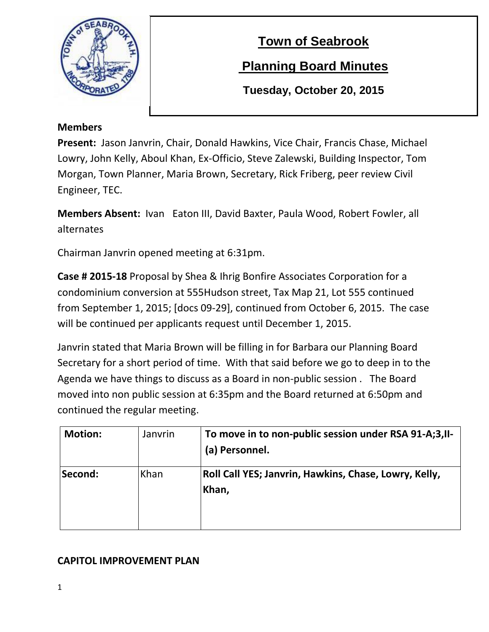

# **Town of Seabrook**

# **Planning Board Minutes**

**Tuesday, October 20, 2015**

### **Members**

**Present:** Jason Janvrin, Chair, Donald Hawkins, Vice Chair, Francis Chase, Michael Lowry, John Kelly, Aboul Khan, Ex-Officio, Steve Zalewski, Building Inspector, Tom Morgan, Town Planner, Maria Brown, Secretary, Rick Friberg, peer review Civil Engineer, TEC.

**Members Absent:** Ivan Eaton III, David Baxter, Paula Wood, Robert Fowler, all alternates

Chairman Janvrin opened meeting at 6:31pm.

**Case # 2015-18** Proposal by Shea & Ihrig Bonfire Associates Corporation for a condominium conversion at 555Hudson street, Tax Map 21, Lot 555 continued from September 1, 2015; [docs 09-29], continued from October 6, 2015. The case will be continued per applicants request until December 1, 2015.

Janvrin stated that Maria Brown will be filling in for Barbara our Planning Board Secretary for a short period of time. With that said before we go to deep in to the Agenda we have things to discuss as a Board in non-public session . The Board moved into non public session at 6:35pm and the Board returned at 6:50pm and continued the regular meeting.

| <b>Motion:</b> | Janvrin | To move in to non-public session under RSA 91-A;3, II-<br>(a) Personnel. |
|----------------|---------|--------------------------------------------------------------------------|
| Second:        | Khan    | Roll Call YES; Janvrin, Hawkins, Chase, Lowry, Kelly,<br>Khan,           |

# **CAPITOL IMPROVEMENT PLAN**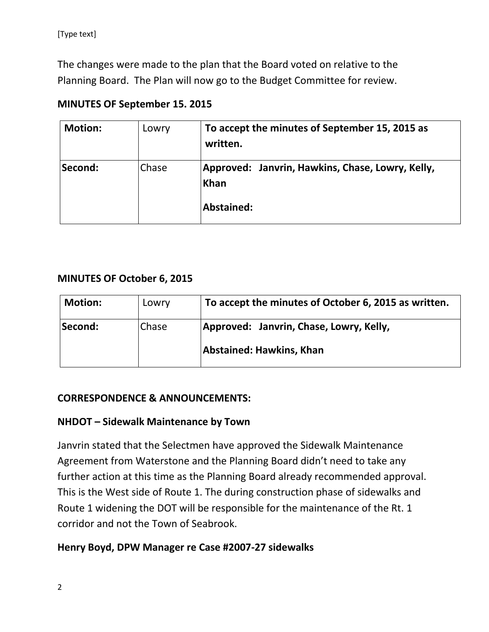The changes were made to the plan that the Board voted on relative to the Planning Board. The Plan will now go to the Budget Committee for review.

| <b>Motion:</b> | Lowry | To accept the minutes of September 15, 2015 as<br>written.             |
|----------------|-------|------------------------------------------------------------------------|
| Second:        | Chase | Approved: Janvrin, Hawkins, Chase, Lowry, Kelly,<br>Khan<br>Abstained: |

# **MINUTES OF September 15. 2015**

### **MINUTES OF October 6, 2015**

| <b>Motion:</b> | Lowry | To accept the minutes of October 6, 2015 as written. |
|----------------|-------|------------------------------------------------------|
| Second:        | Chase | Approved: Janvrin, Chase, Lowry, Kelly,              |
|                |       | Abstained: Hawkins, Khan                             |

### **CORRESPONDENCE & ANNOUNCEMENTS:**

### **NHDOT – Sidewalk Maintenance by Town**

Janvrin stated that the Selectmen have approved the Sidewalk Maintenance Agreement from Waterstone and the Planning Board didn't need to take any further action at this time as the Planning Board already recommended approval. This is the West side of Route 1. The during construction phase of sidewalks and Route 1 widening the DOT will be responsible for the maintenance of the Rt. 1 corridor and not the Town of Seabrook.

### **Henry Boyd, DPW Manager re Case #2007-27 sidewalks**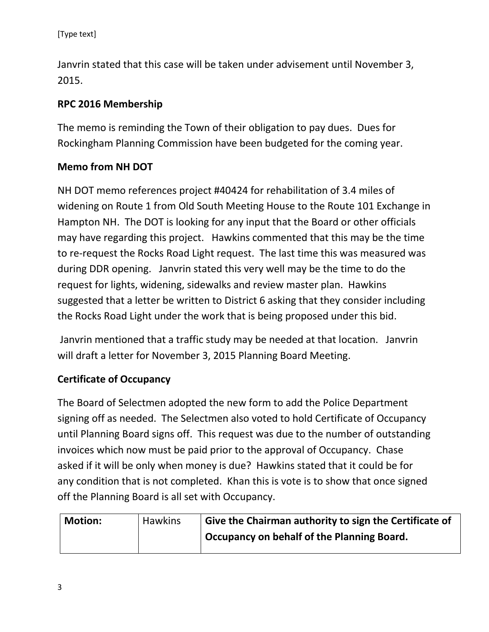[Type text]

Janvrin stated that this case will be taken under advisement until November 3, 2015.

### **RPC 2016 Membership**

The memo is reminding the Town of their obligation to pay dues. Dues for Rockingham Planning Commission have been budgeted for the coming year.

### **Memo from NH DOT**

NH DOT memo references project #40424 for rehabilitation of 3.4 miles of widening on Route 1 from Old South Meeting House to the Route 101 Exchange in Hampton NH. The DOT is looking for any input that the Board or other officials may have regarding this project. Hawkins commented that this may be the time to re-request the Rocks Road Light request. The last time this was measured was during DDR opening. Janvrin stated this very well may be the time to do the request for lights, widening, sidewalks and review master plan. Hawkins suggested that a letter be written to District 6 asking that they consider including the Rocks Road Light under the work that is being proposed under this bid.

Janvrin mentioned that a traffic study may be needed at that location. Janvrin will draft a letter for November 3, 2015 Planning Board Meeting.

### **Certificate of Occupancy**

The Board of Selectmen adopted the new form to add the Police Department signing off as needed. The Selectmen also voted to hold Certificate of Occupancy until Planning Board signs off. This request was due to the number of outstanding invoices which now must be paid prior to the approval of Occupancy. Chase asked if it will be only when money is due? Hawkins stated that it could be for any condition that is not completed. Khan this is vote is to show that once signed off the Planning Board is all set with Occupancy.

| <b>Motion:</b> | <b>Hawkins</b> | Give the Chairman authority to sign the Certificate of |
|----------------|----------------|--------------------------------------------------------|
|                |                | Occupancy on behalf of the Planning Board.             |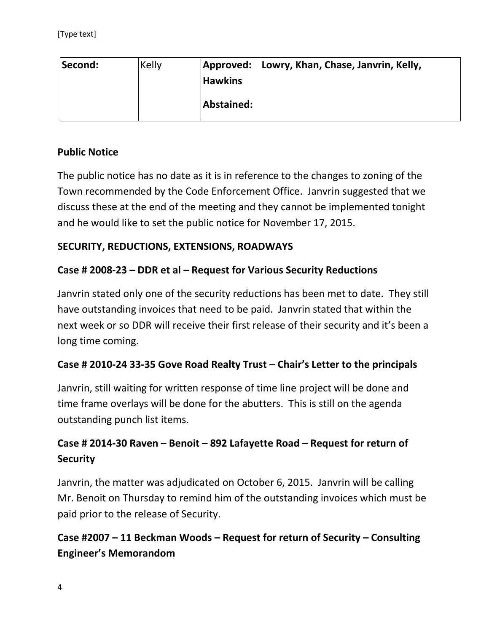| Second: | Kelly | Approved: Lowry, Khan, Chase, Janvrin, Kelly, |
|---------|-------|-----------------------------------------------|
|         |       | <b>Hawkins</b>                                |
|         |       | Abstained:                                    |

### **Public Notice**

The public notice has no date as it is in reference to the changes to zoning of the Town recommended by the Code Enforcement Office. Janvrin suggested that we discuss these at the end of the meeting and they cannot be implemented tonight and he would like to set the public notice for November 17, 2015.

### **SECURITY, REDUCTIONS, EXTENSIONS, ROADWAYS**

### **Case # 2008-23 – DDR et al – Request for Various Security Reductions**

Janvrin stated only one of the security reductions has been met to date. They still have outstanding invoices that need to be paid. Janvrin stated that within the next week or so DDR will receive their first release of their security and it's been a long time coming.

### **Case # 2010-24 33-35 Gove Road Realty Trust – Chair's Letter to the principals**

Janvrin, still waiting for written response of time line project will be done and time frame overlays will be done for the abutters. This is still on the agenda outstanding punch list items.

# **Case # 2014-30 Raven – Benoit – 892 Lafayette Road – Request for return of Security**

Janvrin, the matter was adjudicated on October 6, 2015. Janvrin will be calling Mr. Benoit on Thursday to remind him of the outstanding invoices which must be paid prior to the release of Security.

**Case #2007 – 11 Beckman Woods – Request for return of Security – Consulting Engineer's Memorandom**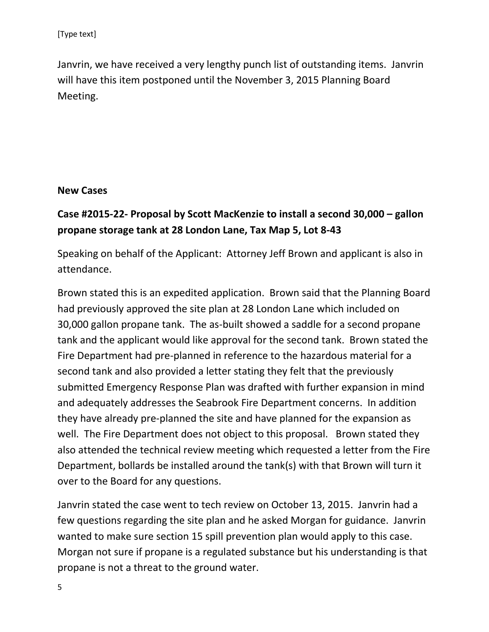Janvrin, we have received a very lengthy punch list of outstanding items. Janvrin will have this item postponed until the November 3, 2015 Planning Board Meeting.

#### **New Cases**

# **Case #2015-22- Proposal by Scott MacKenzie to install a second 30,000 – gallon propane storage tank at 28 London Lane, Tax Map 5, Lot 8-43**

Speaking on behalf of the Applicant: Attorney Jeff Brown and applicant is also in attendance.

Brown stated this is an expedited application. Brown said that the Planning Board had previously approved the site plan at 28 London Lane which included on 30,000 gallon propane tank. The as-built showed a saddle for a second propane tank and the applicant would like approval for the second tank. Brown stated the Fire Department had pre-planned in reference to the hazardous material for a second tank and also provided a letter stating they felt that the previously submitted Emergency Response Plan was drafted with further expansion in mind and adequately addresses the Seabrook Fire Department concerns. In addition they have already pre-planned the site and have planned for the expansion as well. The Fire Department does not object to this proposal. Brown stated they also attended the technical review meeting which requested a letter from the Fire Department, bollards be installed around the tank(s) with that Brown will turn it over to the Board for any questions.

Janvrin stated the case went to tech review on October 13, 2015. Janvrin had a few questions regarding the site plan and he asked Morgan for guidance. Janvrin wanted to make sure section 15 spill prevention plan would apply to this case. Morgan not sure if propane is a regulated substance but his understanding is that propane is not a threat to the ground water.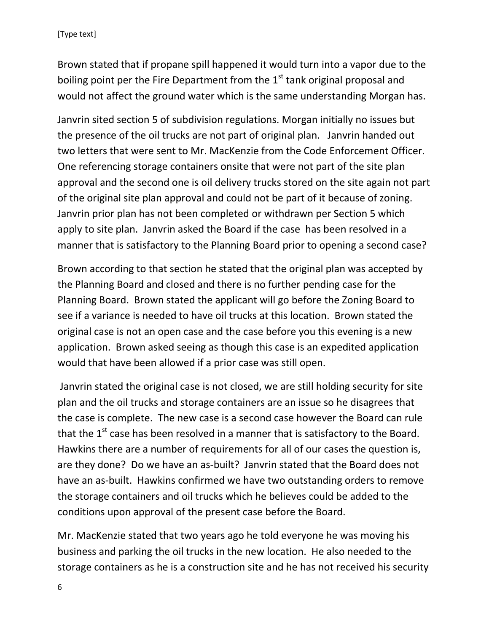Brown stated that if propane spill happened it would turn into a vapor due to the boiling point per the Fire Department from the  $1<sup>st</sup>$  tank original proposal and would not affect the ground water which is the same understanding Morgan has.

Janvrin sited section 5 of subdivision regulations. Morgan initially no issues but the presence of the oil trucks are not part of original plan. Janvrin handed out two letters that were sent to Mr. MacKenzie from the Code Enforcement Officer. One referencing storage containers onsite that were not part of the site plan approval and the second one is oil delivery trucks stored on the site again not part of the original site plan approval and could not be part of it because of zoning. Janvrin prior plan has not been completed or withdrawn per Section 5 which apply to site plan. Janvrin asked the Board if the case has been resolved in a manner that is satisfactory to the Planning Board prior to opening a second case?

Brown according to that section he stated that the original plan was accepted by the Planning Board and closed and there is no further pending case for the Planning Board. Brown stated the applicant will go before the Zoning Board to see if a variance is needed to have oil trucks at this location. Brown stated the original case is not an open case and the case before you this evening is a new application. Brown asked seeing as though this case is an expedited application would that have been allowed if a prior case was still open.

Janvrin stated the original case is not closed, we are still holding security for site plan and the oil trucks and storage containers are an issue so he disagrees that the case is complete. The new case is a second case however the Board can rule that the  $1<sup>st</sup>$  case has been resolved in a manner that is satisfactory to the Board. Hawkins there are a number of requirements for all of our cases the question is, are they done? Do we have an as-built? Janvrin stated that the Board does not have an as-built. Hawkins confirmed we have two outstanding orders to remove the storage containers and oil trucks which he believes could be added to the conditions upon approval of the present case before the Board.

Mr. MacKenzie stated that two years ago he told everyone he was moving his business and parking the oil trucks in the new location. He also needed to the storage containers as he is a construction site and he has not received his security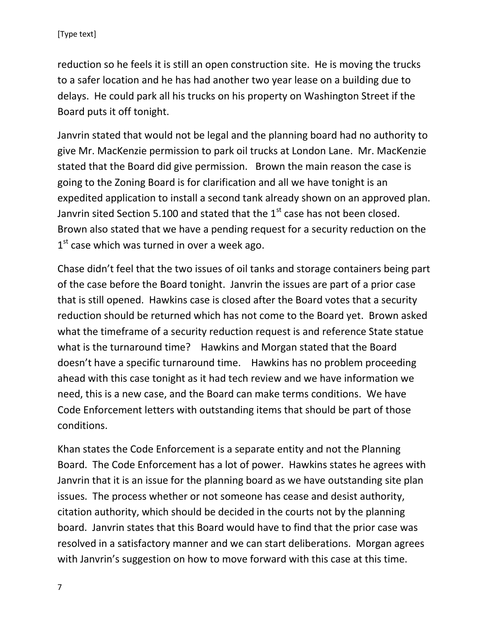reduction so he feels it is still an open construction site. He is moving the trucks to a safer location and he has had another two year lease on a building due to delays. He could park all his trucks on his property on Washington Street if the Board puts it off tonight.

Janvrin stated that would not be legal and the planning board had no authority to give Mr. MacKenzie permission to park oil trucks at London Lane. Mr. MacKenzie stated that the Board did give permission. Brown the main reason the case is going to the Zoning Board is for clarification and all we have tonight is an expedited application to install a second tank already shown on an approved plan. Janvrin sited Section 5.100 and stated that the  $1<sup>st</sup>$  case has not been closed. Brown also stated that we have a pending request for a security reduction on the  $1<sup>st</sup>$  case which was turned in over a week ago.

Chase didn't feel that the two issues of oil tanks and storage containers being part of the case before the Board tonight. Janvrin the issues are part of a prior case that is still opened. Hawkins case is closed after the Board votes that a security reduction should be returned which has not come to the Board yet. Brown asked what the timeframe of a security reduction request is and reference State statue what is the turnaround time? Hawkins and Morgan stated that the Board doesn't have a specific turnaround time. Hawkins has no problem proceeding ahead with this case tonight as it had tech review and we have information we need, this is a new case, and the Board can make terms conditions. We have Code Enforcement letters with outstanding items that should be part of those conditions.

Khan states the Code Enforcement is a separate entity and not the Planning Board. The Code Enforcement has a lot of power. Hawkins states he agrees with Janvrin that it is an issue for the planning board as we have outstanding site plan issues. The process whether or not someone has cease and desist authority, citation authority, which should be decided in the courts not by the planning board. Janvrin states that this Board would have to find that the prior case was resolved in a satisfactory manner and we can start deliberations. Morgan agrees with Janvrin's suggestion on how to move forward with this case at this time.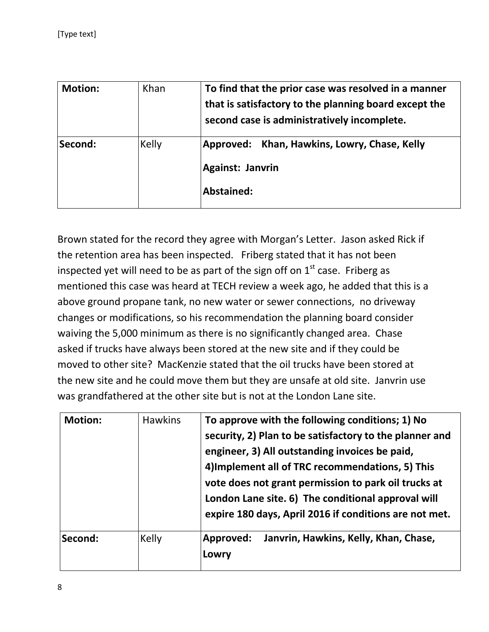| <b>Motion:</b> | Khan  | To find that the prior case was resolved in a manner<br>that is satisfactory to the planning board except the<br>second case is administratively incomplete. |
|----------------|-------|--------------------------------------------------------------------------------------------------------------------------------------------------------------|
| Second:        | Kelly | Approved: Khan, Hawkins, Lowry, Chase, Kelly<br>Against: Janvrin<br>Abstained:                                                                               |

Brown stated for the record they agree with Morgan's Letter. Jason asked Rick if the retention area has been inspected. Friberg stated that it has not been inspected yet will need to be as part of the sign off on  $1<sup>st</sup>$  case. Friberg as mentioned this case was heard at TECH review a week ago, he added that this is a above ground propane tank, no new water or sewer connections, no driveway changes or modifications, so his recommendation the planning board consider waiving the 5,000 minimum as there is no significantly changed area. Chase asked if trucks have always been stored at the new site and if they could be moved to other site? MacKenzie stated that the oil trucks have been stored at the new site and he could move them but they are unsafe at old site. Janvrin use was grandfathered at the other site but is not at the London Lane site.

| <b>Motion:</b> | <b>Hawkins</b> | To approve with the following conditions; 1) No<br>security, 2) Plan to be satisfactory to the planner and<br>engineer, 3) All outstanding invoices be paid,<br>4) Implement all of TRC recommendations, 5) This<br>vote does not grant permission to park oil trucks at<br>London Lane site. 6) The conditional approval will<br>expire 180 days, April 2016 if conditions are not met. |
|----------------|----------------|------------------------------------------------------------------------------------------------------------------------------------------------------------------------------------------------------------------------------------------------------------------------------------------------------------------------------------------------------------------------------------------|
| Second:        | Kelly          | Janvrin, Hawkins, Kelly, Khan, Chase,<br>Approved:<br>Lowry                                                                                                                                                                                                                                                                                                                              |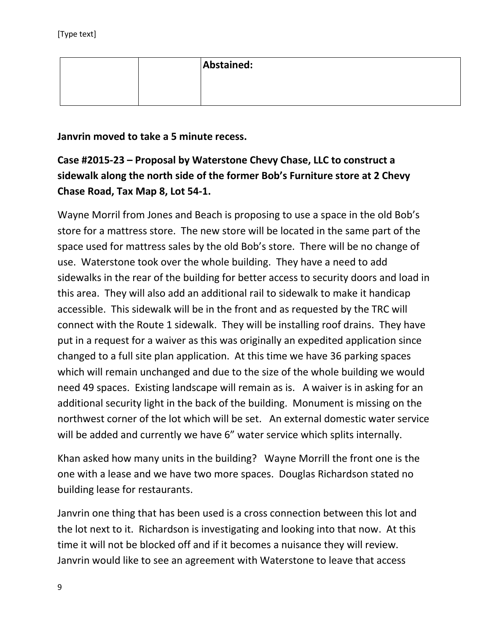|  | Abstained: |
|--|------------|
|  |            |
|  |            |

**Janvrin moved to take a 5 minute recess.** 

**Case #2015-23 – Proposal by Waterstone Chevy Chase, LLC to construct a sidewalk along the north side of the former Bob's Furniture store at 2 Chevy Chase Road, Tax Map 8, Lot 54-1.**

Wayne Morril from Jones and Beach is proposing to use a space in the old Bob's store for a mattress store. The new store will be located in the same part of the space used for mattress sales by the old Bob's store. There will be no change of use. Waterstone took over the whole building. They have a need to add sidewalks in the rear of the building for better access to security doors and load in this area. They will also add an additional rail to sidewalk to make it handicap accessible. This sidewalk will be in the front and as requested by the TRC will connect with the Route 1 sidewalk. They will be installing roof drains. They have put in a request for a waiver as this was originally an expedited application since changed to a full site plan application. At this time we have 36 parking spaces which will remain unchanged and due to the size of the whole building we would need 49 spaces. Existing landscape will remain as is. A waiver is in asking for an additional security light in the back of the building. Monument is missing on the northwest corner of the lot which will be set. An external domestic water service will be added and currently we have 6" water service which splits internally.

Khan asked how many units in the building? Wayne Morrill the front one is the one with a lease and we have two more spaces. Douglas Richardson stated no building lease for restaurants.

Janvrin one thing that has been used is a cross connection between this lot and the lot next to it. Richardson is investigating and looking into that now. At this time it will not be blocked off and if it becomes a nuisance they will review. Janvrin would like to see an agreement with Waterstone to leave that access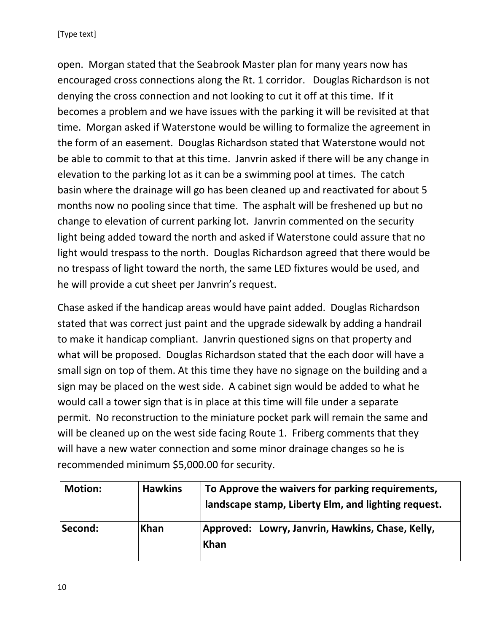open. Morgan stated that the Seabrook Master plan for many years now has encouraged cross connections along the Rt. 1 corridor. Douglas Richardson is not denying the cross connection and not looking to cut it off at this time. If it becomes a problem and we have issues with the parking it will be revisited at that time. Morgan asked if Waterstone would be willing to formalize the agreement in the form of an easement. Douglas Richardson stated that Waterstone would not be able to commit to that at this time. Janvrin asked if there will be any change in elevation to the parking lot as it can be a swimming pool at times. The catch basin where the drainage will go has been cleaned up and reactivated for about 5 months now no pooling since that time. The asphalt will be freshened up but no change to elevation of current parking lot. Janvrin commented on the security light being added toward the north and asked if Waterstone could assure that no light would trespass to the north. Douglas Richardson agreed that there would be no trespass of light toward the north, the same LED fixtures would be used, and he will provide a cut sheet per Janvrin's request.

Chase asked if the handicap areas would have paint added. Douglas Richardson stated that was correct just paint and the upgrade sidewalk by adding a handrail to make it handicap compliant. Janvrin questioned signs on that property and what will be proposed. Douglas Richardson stated that the each door will have a small sign on top of them. At this time they have no signage on the building and a sign may be placed on the west side. A cabinet sign would be added to what he would call a tower sign that is in place at this time will file under a separate permit. No reconstruction to the miniature pocket park will remain the same and will be cleaned up on the west side facing Route 1. Friberg comments that they will have a new water connection and some minor drainage changes so he is recommended minimum \$5,000.00 for security.

| <b>Motion:</b> | <b>Hawkins</b> | To Approve the waivers for parking requirements,<br>landscape stamp, Liberty Elm, and lighting request. |
|----------------|----------------|---------------------------------------------------------------------------------------------------------|
| Second:        | <b>Khan</b>    | Approved: Lowry, Janvrin, Hawkins, Chase, Kelly,<br><b>Khan</b>                                         |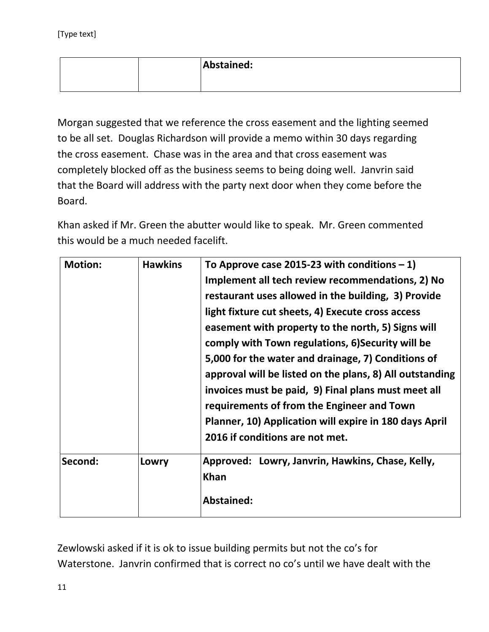|  | Abstained: |
|--|------------|
|  |            |

Morgan suggested that we reference the cross easement and the lighting seemed to be all set. Douglas Richardson will provide a memo within 30 days regarding the cross easement. Chase was in the area and that cross easement was completely blocked off as the business seems to being doing well. Janvrin said that the Board will address with the party next door when they come before the Board.

Khan asked if Mr. Green the abutter would like to speak. Mr. Green commented this would be a much needed facelift.

| <b>Motion:</b> | <b>Hawkins</b> | To Approve case 2015-23 with conditions $-1$ )           |
|----------------|----------------|----------------------------------------------------------|
|                |                | Implement all tech review recommendations, 2) No         |
|                |                | restaurant uses allowed in the building, 3) Provide      |
|                |                | light fixture cut sheets, 4) Execute cross access        |
|                |                | easement with property to the north, 5) Signs will       |
|                |                | comply with Town regulations, 6) Security will be        |
|                |                | 5,000 for the water and drainage, 7) Conditions of       |
|                |                | approval will be listed on the plans, 8) All outstanding |
|                |                | invoices must be paid, 9) Final plans must meet all      |
|                |                | requirements of from the Engineer and Town               |
|                |                | Planner, 10) Application will expire in 180 days April   |
|                |                | 2016 if conditions are not met.                          |
| Second:        | Lowry          | Approved: Lowry, Janvrin, Hawkins, Chase, Kelly,         |
|                |                | <b>Khan</b>                                              |
|                |                | <b>Abstained:</b>                                        |

Zewlowski asked if it is ok to issue building permits but not the co's for Waterstone. Janvrin confirmed that is correct no co's until we have dealt with the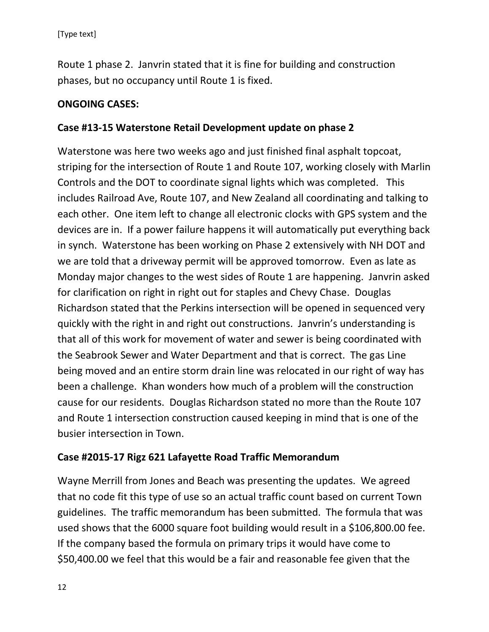Route 1 phase 2. Janvrin stated that it is fine for building and construction phases, but no occupancy until Route 1 is fixed.

### **ONGOING CASES:**

### **Case #13-15 Waterstone Retail Development update on phase 2**

Waterstone was here two weeks ago and just finished final asphalt topcoat, striping for the intersection of Route 1 and Route 107, working closely with Marlin Controls and the DOT to coordinate signal lights which was completed. This includes Railroad Ave, Route 107, and New Zealand all coordinating and talking to each other. One item left to change all electronic clocks with GPS system and the devices are in. If a power failure happens it will automatically put everything back in synch. Waterstone has been working on Phase 2 extensively with NH DOT and we are told that a driveway permit will be approved tomorrow. Even as late as Monday major changes to the west sides of Route 1 are happening. Janvrin asked for clarification on right in right out for staples and Chevy Chase. Douglas Richardson stated that the Perkins intersection will be opened in sequenced very quickly with the right in and right out constructions. Janvrin's understanding is that all of this work for movement of water and sewer is being coordinated with the Seabrook Sewer and Water Department and that is correct. The gas Line being moved and an entire storm drain line was relocated in our right of way has been a challenge. Khan wonders how much of a problem will the construction cause for our residents. Douglas Richardson stated no more than the Route 107 and Route 1 intersection construction caused keeping in mind that is one of the busier intersection in Town.

### **Case #2015-17 Rigz 621 Lafayette Road Traffic Memorandum**

Wayne Merrill from Jones and Beach was presenting the updates. We agreed that no code fit this type of use so an actual traffic count based on current Town guidelines. The traffic memorandum has been submitted. The formula that was used shows that the 6000 square foot building would result in a \$106,800.00 fee. If the company based the formula on primary trips it would have come to \$50,400.00 we feel that this would be a fair and reasonable fee given that the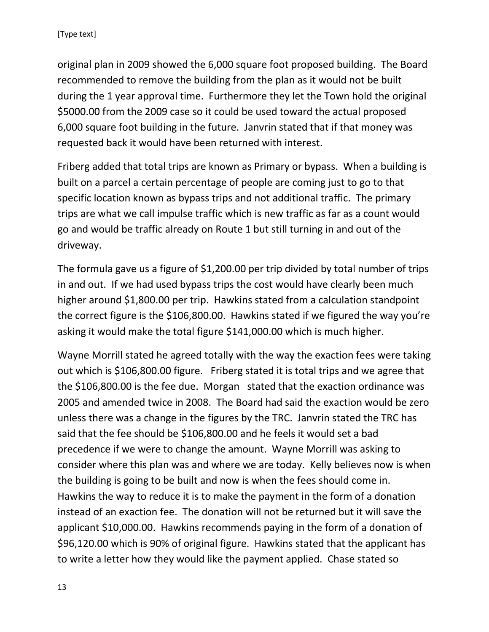original plan in 2009 showed the 6,000 square foot proposed building. The Board recommended to remove the building from the plan as it would not be built during the 1 year approval time. Furthermore they let the Town hold the original \$5000.00 from the 2009 case so it could be used toward the actual proposed 6,000 square foot building in the future. Janvrin stated that if that money was requested back it would have been returned with interest.

Friberg added that total trips are known as Primary or bypass. When a building is built on a parcel a certain percentage of people are coming just to go to that specific location known as bypass trips and not additional traffic. The primary trips are what we call impulse traffic which is new traffic as far as a count would go and would be traffic already on Route 1 but still turning in and out of the driveway.

The formula gave us a figure of \$1,200.00 per trip divided by total number of trips in and out. If we had used bypass trips the cost would have clearly been much higher around \$1,800.00 per trip. Hawkins stated from a calculation standpoint the correct figure is the \$106,800.00. Hawkins stated if we figured the way you're asking it would make the total figure \$141,000.00 which is much higher.

Wayne Morrill stated he agreed totally with the way the exaction fees were taking out which is \$106,800.00 figure. Friberg stated it is total trips and we agree that the \$106,800.00 is the fee due. Morgan stated that the exaction ordinance was 2005 and amended twice in 2008. The Board had said the exaction would be zero unless there was a change in the figures by the TRC. Janvrin stated the TRC has said that the fee should be \$106,800.00 and he feels it would set a bad precedence if we were to change the amount. Wayne Morrill was asking to consider where this plan was and where we are today. Kelly believes now is when the building is going to be built and now is when the fees should come in. Hawkins the way to reduce it is to make the payment in the form of a donation instead of an exaction fee. The donation will not be returned but it will save the applicant \$10,000.00. Hawkins recommends paying in the form of a donation of \$96,120.00 which is 90% of original figure. Hawkins stated that the applicant has to write a letter how they would like the payment applied. Chase stated so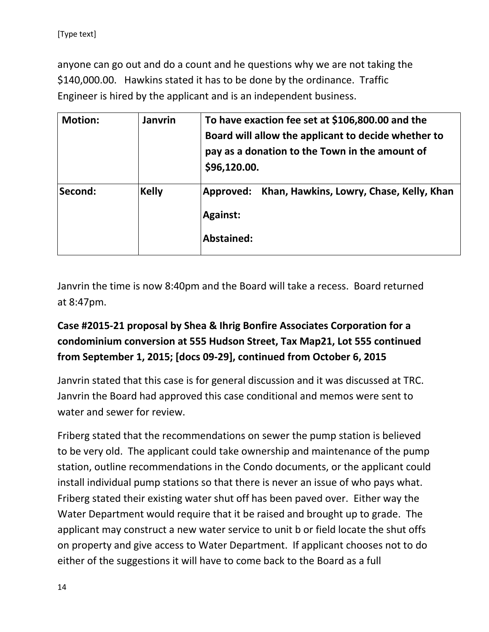anyone can go out and do a count and he questions why we are not taking the \$140,000.00. Hawkins stated it has to be done by the ordinance. Traffic Engineer is hired by the applicant and is an independent business.

| <b>Motion:</b> | <b>Janvrin</b> | To have exaction fee set at \$106,800.00 and the<br>Board will allow the applicant to decide whether to<br>pay as a donation to the Town in the amount of<br>\$96,120.00. |
|----------------|----------------|---------------------------------------------------------------------------------------------------------------------------------------------------------------------------|
| Second:        | <b>Kelly</b>   | Khan, Hawkins, Lowry, Chase, Kelly, Khan<br>Approved:<br><b>Against:</b><br>Abstained:                                                                                    |

Janvrin the time is now 8:40pm and the Board will take a recess. Board returned at 8:47pm.

# **Case #2015-21 proposal by Shea & Ihrig Bonfire Associates Corporation for a condominium conversion at 555 Hudson Street, Tax Map21, Lot 555 continued from September 1, 2015; [docs 09-29], continued from October 6, 2015**

Janvrin stated that this case is for general discussion and it was discussed at TRC. Janvrin the Board had approved this case conditional and memos were sent to water and sewer for review.

Friberg stated that the recommendations on sewer the pump station is believed to be very old. The applicant could take ownership and maintenance of the pump station, outline recommendations in the Condo documents, or the applicant could install individual pump stations so that there is never an issue of who pays what. Friberg stated their existing water shut off has been paved over. Either way the Water Department would require that it be raised and brought up to grade. The applicant may construct a new water service to unit b or field locate the shut offs on property and give access to Water Department. If applicant chooses not to do either of the suggestions it will have to come back to the Board as a full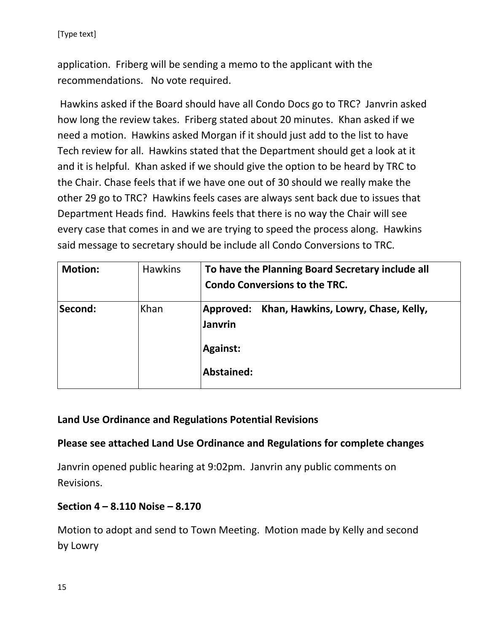application. Friberg will be sending a memo to the applicant with the recommendations. No vote required.

Hawkins asked if the Board should have all Condo Docs go to TRC? Janvrin asked how long the review takes. Friberg stated about 20 minutes. Khan asked if we need a motion. Hawkins asked Morgan if it should just add to the list to have Tech review for all. Hawkins stated that the Department should get a look at it and it is helpful. Khan asked if we should give the option to be heard by TRC to the Chair. Chase feels that if we have one out of 30 should we really make the other 29 go to TRC? Hawkins feels cases are always sent back due to issues that Department Heads find. Hawkins feels that there is no way the Chair will see every case that comes in and we are trying to speed the process along. Hawkins said message to secretary should be include all Condo Conversions to TRC.

| <b>Motion:</b> | <b>Hawkins</b> | To have the Planning Board Secretary include all<br><b>Condo Conversions to the TRC.</b>         |
|----------------|----------------|--------------------------------------------------------------------------------------------------|
| Second:        | Khan           | Approved: Khan, Hawkins, Lowry, Chase, Kelly,<br><b>Janvrin</b><br><b>Against:</b><br>Abstained: |

### **Land Use Ordinance and Regulations Potential Revisions**

### **Please see attached Land Use Ordinance and Regulations for complete changes**

Janvrin opened public hearing at 9:02pm. Janvrin any public comments on Revisions.

### **Section 4 – 8.110 Noise – 8.170**

Motion to adopt and send to Town Meeting. Motion made by Kelly and second by Lowry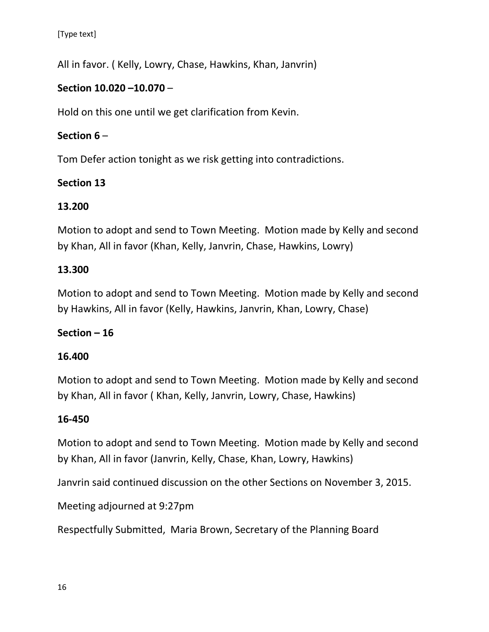[Type text]

All in favor. ( Kelly, Lowry, Chase, Hawkins, Khan, Janvrin)

# **Section 10.020 –10.070** –

Hold on this one until we get clarification from Kevin.

# **Section 6** –

Tom Defer action tonight as we risk getting into contradictions.

# **Section 13**

# **13.200**

Motion to adopt and send to Town Meeting. Motion made by Kelly and second by Khan, All in favor (Khan, Kelly, Janvrin, Chase, Hawkins, Lowry)

# **13.300**

Motion to adopt and send to Town Meeting. Motion made by Kelly and second by Hawkins, All in favor (Kelly, Hawkins, Janvrin, Khan, Lowry, Chase)

### **Section – 16**

### **16.400**

Motion to adopt and send to Town Meeting. Motion made by Kelly and second by Khan, All in favor ( Khan, Kelly, Janvrin, Lowry, Chase, Hawkins)

### **16-450**

Motion to adopt and send to Town Meeting. Motion made by Kelly and second by Khan, All in favor (Janvrin, Kelly, Chase, Khan, Lowry, Hawkins)

Janvrin said continued discussion on the other Sections on November 3, 2015.

Meeting adjourned at 9:27pm

Respectfully Submitted, Maria Brown, Secretary of the Planning Board